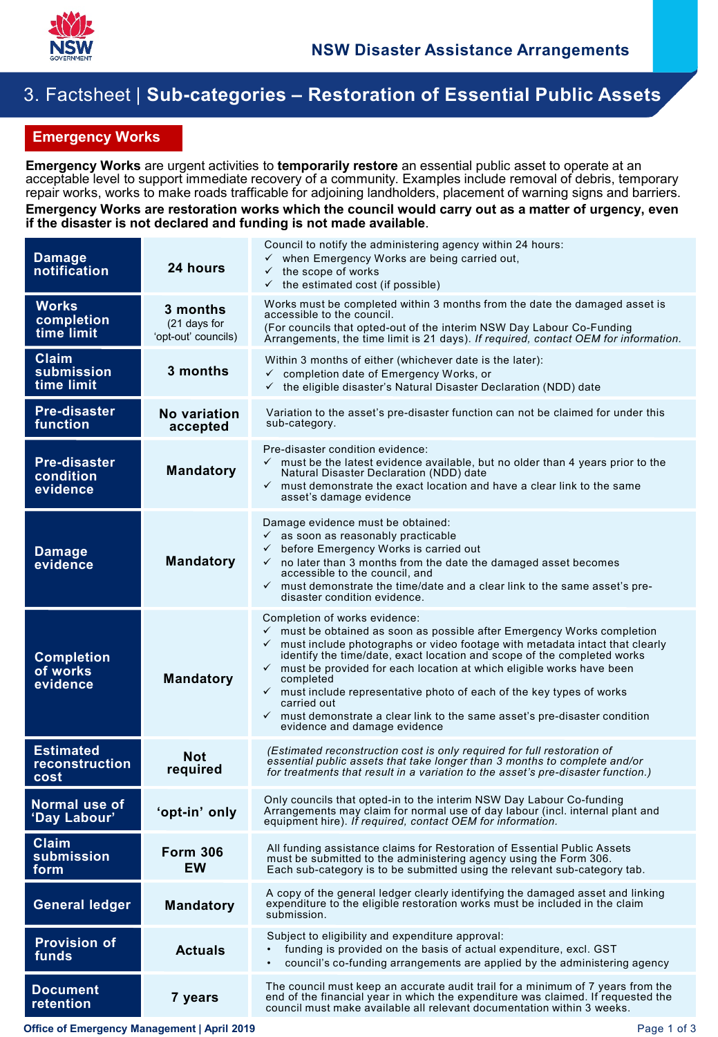

## 3. Factsheet | **Sub-categories – Restoration of Essential Public Assets**

## **Emergency Works**

**Emergency Works** are urgent activities to **temporarily restore** an essential public asset to operate at an acceptable level to support immediate recovery of a community. Examples include removal of debris, temporary repair works, works to make roads trafficable for adjoining landholders, placement of warning signs and barriers.

## **Emergency Works are restoration works which the council would carry out as a matter of urgency, even if the disaster is not declared and funding is not made available**.

| <b>Damage</b><br>notification                     | 24 hours                                        | Council to notify the administering agency within 24 hours:<br>when Emergency Works are being carried out,<br>$\checkmark$<br>$\checkmark$<br>the scope of works<br>$\checkmark$ the estimated cost (if possible)                                                                                                                                                                                                                                                                                                                                                                                                        |
|---------------------------------------------------|-------------------------------------------------|--------------------------------------------------------------------------------------------------------------------------------------------------------------------------------------------------------------------------------------------------------------------------------------------------------------------------------------------------------------------------------------------------------------------------------------------------------------------------------------------------------------------------------------------------------------------------------------------------------------------------|
| <b>Works</b><br>completion<br>time limit          | 3 months<br>(21 days for<br>'opt-out' councils) | Works must be completed within 3 months from the date the damaged asset is<br>accessible to the council.<br>(For councils that opted-out of the interim NSW Day Labour Co-Funding<br>Arrangements, the time limit is 21 days). If required, contact OEM for information.                                                                                                                                                                                                                                                                                                                                                 |
| <b>Claim</b><br>submission<br>time limit          | 3 months                                        | Within 3 months of either (whichever date is the later):<br>completion date of Emergency Works, or<br>$\checkmark$<br>the eligible disaster's Natural Disaster Declaration (NDD) date<br>✓                                                                                                                                                                                                                                                                                                                                                                                                                               |
| <b>Pre-disaster</b><br>function                   | No variation<br>accepted                        | Variation to the asset's pre-disaster function can not be claimed for under this<br>sub-category.                                                                                                                                                                                                                                                                                                                                                                                                                                                                                                                        |
| <b>Pre-disaster</b><br>condition<br>evidence      | <b>Mandatory</b>                                | Pre-disaster condition evidence:<br>$\checkmark$ must be the latest evidence available, but no older than 4 years prior to the<br>Natural Disaster Declaration (NDD) date<br>$\checkmark$ must demonstrate the exact location and have a clear link to the same<br>asset's damage evidence                                                                                                                                                                                                                                                                                                                               |
| <b>Damage</b><br>evidence                         | <b>Mandatory</b>                                | Damage evidence must be obtained:<br>$\checkmark$ as soon as reasonably practicable<br>before Emergency Works is carried out<br>$\checkmark$<br>no later than 3 months from the date the damaged asset becomes<br>$\checkmark$<br>accessible to the council, and<br>$\checkmark$ must demonstrate the time/date and a clear link to the same asset's pre-<br>disaster condition evidence.                                                                                                                                                                                                                                |
| <b>Completion</b><br>of works<br>evidence         | <b>Mandatory</b>                                | Completion of works evidence:<br>$\checkmark$ must be obtained as soon as possible after Emergency Works completion<br>$\checkmark$ must include photographs or video footage with metadata intact that clearly<br>identify the time/date, exact location and scope of the completed works<br>$\checkmark$ must be provided for each location at which eligible works have been<br>completed<br>$\checkmark$ must include representative photo of each of the key types of works<br>carried out<br>$\checkmark$ must demonstrate a clear link to the same asset's pre-disaster condition<br>evidence and damage evidence |
| <b>Estimated</b><br><b>reconstruction</b><br>cost | <b>Not</b><br>required                          | (Estimated reconstruction cost is only required for full restoration of<br>essential public assets that take longer than 3 months to complete and/or<br>for treatments that result in a variation to the asset's pre-disaster function.)                                                                                                                                                                                                                                                                                                                                                                                 |
| Normal use of<br>'Day Labour'                     | 'opt-in' only                                   | Only councils that opted-in to the interim NSW Day Labour Co-funding<br>Arrangements may claim for normal use of day labour (incl. internal plant and<br>equipment hire). If required, contact OEM for information.                                                                                                                                                                                                                                                                                                                                                                                                      |
| Claim<br>submission<br>form                       | <b>Form 306</b><br><b>EW</b>                    | All funding assistance claims for Restoration of Essential Public Assets<br>must be submitted to the administering agency using the Form 306.<br>Each sub-category is to be submitted using the relevant sub-category tab.                                                                                                                                                                                                                                                                                                                                                                                               |
| <b>General ledger</b>                             | <b>Mandatory</b>                                | A copy of the general ledger clearly identifying the damaged asset and linking<br>expenditure to the eligible restoration works must be included in the claim<br>submission.                                                                                                                                                                                                                                                                                                                                                                                                                                             |
| <b>Provision of</b><br>funds                      | <b>Actuals</b>                                  | Subject to eligibility and expenditure approval:<br>funding is provided on the basis of actual expenditure, excl. GST<br>council's co-funding arrangements are applied by the administering agency                                                                                                                                                                                                                                                                                                                                                                                                                       |
| <b>Document</b><br>retention                      | 7 years                                         | The council must keep an accurate audit trail for a minimum of 7 years from the<br>end of the financial year in which the expenditure was claimed. If requested the<br>council must make available all relevant documentation within 3 weeks.                                                                                                                                                                                                                                                                                                                                                                            |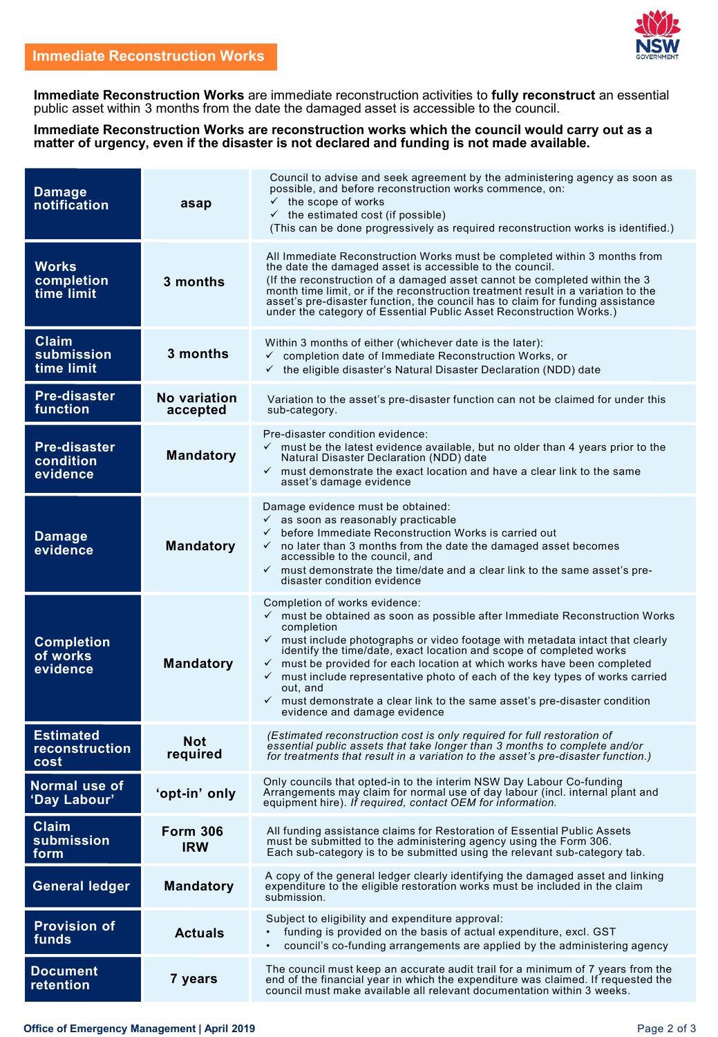**Immediate Reconstruction Works** are immediate reconstruction activities to **fully reconstruct** an essential public asset within 3 months from the date the damaged asset is accessible to the council.

**Immediate Reconstruction Works are reconstruction works which the council would carry out as a matter of urgency, even if the disaster is not declared and funding is not made available.**

| <b>Damage</b><br>notification                | asap                          | Council to advise and seek agreement by the administering agency as soon as<br>possible, and before reconstruction works commence, on:<br>$\checkmark$ the scope of works<br>$\checkmark$ the estimated cost (if possible)<br>(This can be done progressively as required reconstruction works is identified.)                                                                                                                                                                                                                                                                                                                  |
|----------------------------------------------|-------------------------------|---------------------------------------------------------------------------------------------------------------------------------------------------------------------------------------------------------------------------------------------------------------------------------------------------------------------------------------------------------------------------------------------------------------------------------------------------------------------------------------------------------------------------------------------------------------------------------------------------------------------------------|
| <b>Works</b><br>completion<br>time limit     | 3 months                      | All Immediate Reconstruction Works must be completed within 3 months from<br>the date the damaged asset is accessible to the council.<br>(If the reconstruction of a damaged asset cannot be completed within the 3<br>month time limit, or if the reconstruction treatment result in a variation to the<br>asset's pre-disaster function, the council has to claim for funding assistance<br>under the category of Essential Public Asset Reconstruction Works.)                                                                                                                                                               |
| <b>Claim</b><br>submission<br>time limit     | 3 months                      | Within 3 months of either (whichever date is the later):<br>completion date of Immediate Reconstruction Works, or<br>✓<br>$\checkmark$ the eligible disaster's Natural Disaster Declaration (NDD) date                                                                                                                                                                                                                                                                                                                                                                                                                          |
| <b>Pre-disaster</b><br>function              | No variation<br>accepted      | Variation to the asset's pre-disaster function can not be claimed for under this<br>sub-category.                                                                                                                                                                                                                                                                                                                                                                                                                                                                                                                               |
| <b>Pre-disaster</b><br>condition<br>evidence | <b>Mandatory</b>              | Pre-disaster condition evidence:<br>$\checkmark$ must be the latest evidence available, but no older than 4 years prior to the<br>Natural Disaster Declaration (NDD) date<br>$\checkmark$ must demonstrate the exact location and have a clear link to the same<br>asset's damage evidence                                                                                                                                                                                                                                                                                                                                      |
| <b>Damage</b><br>evidence                    | <b>Mandatory</b>              | Damage evidence must be obtained:<br>$\checkmark$ as soon as reasonably practicable<br>$\checkmark$ before Immediate Reconstruction Works is carried out<br>$\checkmark$ no later than 3 months from the date the damaged asset becomes<br>accessible to the council, and<br>$\checkmark$ must demonstrate the time/date and a clear link to the same asset's pre-<br>disaster condition evidence                                                                                                                                                                                                                               |
| <b>Completion</b><br>of works<br>evidence    | <b>Mandatory</b>              | Completion of works evidence:<br>$\checkmark$ must be obtained as soon as possible after Immediate Reconstruction Works<br>completion<br>$\checkmark$ must include photographs or video footage with metadata intact that clearly<br>identify the time/date, exact location and scope of completed works<br>$\checkmark$ must be provided for each location at which works have been completed<br>$\checkmark$ must include representative photo of each of the key types of works carried<br>out, and<br>$\checkmark$ must demonstrate a clear link to the same asset's pre-disaster condition<br>evidence and damage evidence |
| <b>Estimated</b><br>reconstruction<br>cost   | Not<br>required               | (Estimated reconstruction cost is only required for full restoration of<br>essential public assets that take longer than 3 months to complete and/or<br>for treatments that result in a variation to the asset's pre-disaster function.)                                                                                                                                                                                                                                                                                                                                                                                        |
| Normal use of<br>'Day Labour'                | 'opt-in' only                 | Only councils that opted-in to the interim NSW Day Labour Co-funding<br>Arrangements may claim for normal use of day labour (incl. internal plant and<br>equipment hire). If required, contact OEM for information.                                                                                                                                                                                                                                                                                                                                                                                                             |
| <b>Claim</b><br>submission<br>form           | <b>Form 306</b><br><b>IRW</b> | All funding assistance claims for Restoration of Essential Public Assets<br>must be submitted to the administering agency using the Form 306.<br>Each sub-category is to be submitted using the relevant sub-category tab.                                                                                                                                                                                                                                                                                                                                                                                                      |
| <b>General ledger</b>                        | <b>Mandatory</b>              | A copy of the general ledger clearly identifying the damaged asset and linking<br>expenditure to the eligible restoration works must be included in the claim<br>submission.                                                                                                                                                                                                                                                                                                                                                                                                                                                    |
| <b>Provision of</b><br>funds                 | <b>Actuals</b>                | Subject to eligibility and expenditure approval:<br>funding is provided on the basis of actual expenditure, excl. GST<br>council's co-funding arrangements are applied by the administering agency<br>$\bullet$                                                                                                                                                                                                                                                                                                                                                                                                                 |
| <b>Document</b><br>retention                 | 7 years                       | The council must keep an accurate audit trail for a minimum of 7 years from the<br>end of the financial year in which the expenditure was claimed. If requested the<br>council must make available all relevant documentation within 3 weeks.                                                                                                                                                                                                                                                                                                                                                                                   |